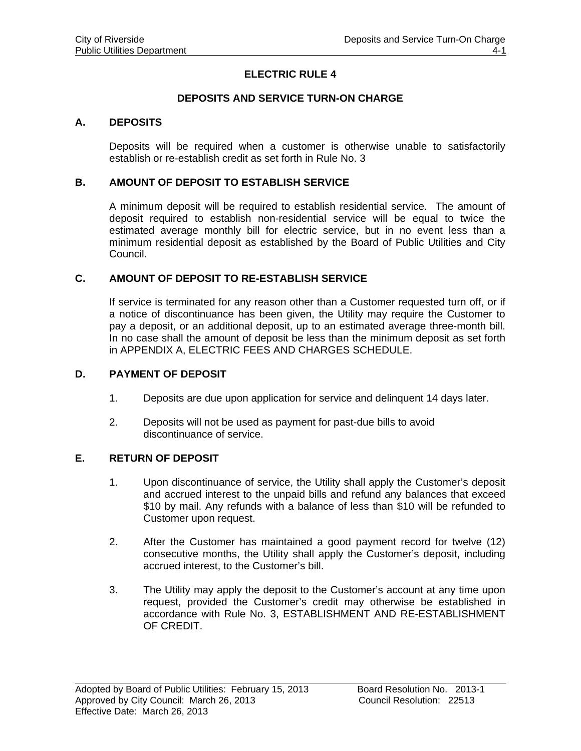# **ELECTRIC RULE 4**

## **DEPOSITS AND SERVICE TURN-ON CHARGE**

### **A. DEPOSITS**

Deposits will be required when a customer is otherwise unable to satisfactorily establish or re-establish credit as set forth in Rule No. 3

### **B. AMOUNT OF DEPOSIT TO ESTABLISH SERVICE**

A minimum deposit will be required to establish residential service. The amount of deposit required to establish non-residential service will be equal to twice the estimated average monthly bill for electric service, but in no event less than a minimum residential deposit as established by the Board of Public Utilities and City Council.

### **C. AMOUNT OF DEPOSIT TO RE-ESTABLISH SERVICE**

If service is terminated for any reason other than a Customer requested turn off, or if a notice of discontinuance has been given, the Utility may require the Customer to pay a deposit, or an additional deposit, up to an estimated average three-month bill. In no case shall the amount of deposit be less than the minimum deposit as set forth in APPENDIX A, ELECTRIC FEES AND CHARGES SCHEDULE.

#### **D. PAYMENT OF DEPOSIT**

- 1. Deposits are due upon application for service and delinquent 14 days later.
- 2. Deposits will not be used as payment for past-due bills to avoid discontinuance of service.

#### **E. RETURN OF DEPOSIT**

 $\overline{a}$ 

- 1. Upon discontinuance of service, the Utility shall apply the Customer's deposit and accrued interest to the unpaid bills and refund any balances that exceed \$10 by mail. Any refunds with a balance of less than \$10 will be refunded to Customer upon request.
- 2. After the Customer has maintained a good payment record for twelve (12) consecutive months, the Utility shall apply the Customer's deposit, including accrued interest, to the Customer's bill.
- 3. The Utility may apply the deposit to the Customer's account at any time upon request, provided the Customer's credit may otherwise be established in accordance with Rule No. 3, ESTABLISHMENT AND RE-ESTABLISHMENT OF CREDIT.